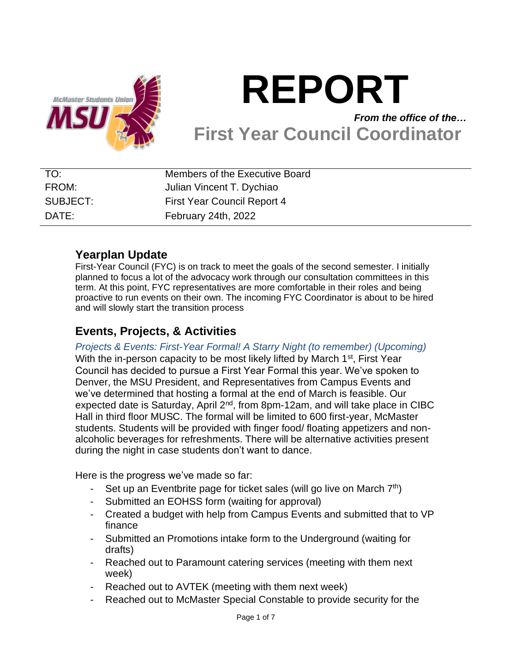

# **REPORT**

*From the office of the…* **First Year Council Coordinator**

| TO:      | Members of the Executive Board |
|----------|--------------------------------|
| FROM:    | Julian Vincent T. Dychiao      |
| SUBJECT: | First Year Council Report 4    |
| DATE:    | February 24th, 2022            |

# **Yearplan Update**

First-Year Council (FYC) is on track to meet the goals of the second semester. I initially planned to focus a lot of the advocacy work through our consultation committees in this term. At this point, FYC representatives are more comfortable in their roles and being proactive to run events on their own. The incoming FYC Coordinator is about to be hired and will slowly start the transition process

# **Events, Projects, & Activities**

*Projects & Events: First-Year Formal! A Starry Night (to remember) (Upcoming)* With the in-person capacity to be most likely lifted by March 1<sup>st</sup>, First Year Council has decided to pursue a First Year Formal this year. We've spoken to Denver, the MSU President, and Representatives from Campus Events and we've determined that hosting a formal at the end of March is feasible. Our expected date is Saturday, April 2<sup>nd</sup>, from 8pm-12am, and will take place in CIBC Hall in third floor MUSC. The formal will be limited to 600 first-year, McMaster students. Students will be provided with finger food/ floating appetizers and nonalcoholic beverages for refreshments. There will be alternative activities present during the night in case students don't want to dance.

Here is the progress we've made so far:

- Set up an Eventbrite page for ticket sales (will go live on March  $7<sup>th</sup>$ )
- Submitted an EOHSS form (waiting for approval)
- Created a budget with help from Campus Events and submitted that to VP finance
- Submitted an Promotions intake form to the Underground (waiting for drafts)
- Reached out to Paramount catering services (meeting with them next week)
- Reached out to AVTEK (meeting with them next week)
- Reached out to McMaster Special Constable to provide security for the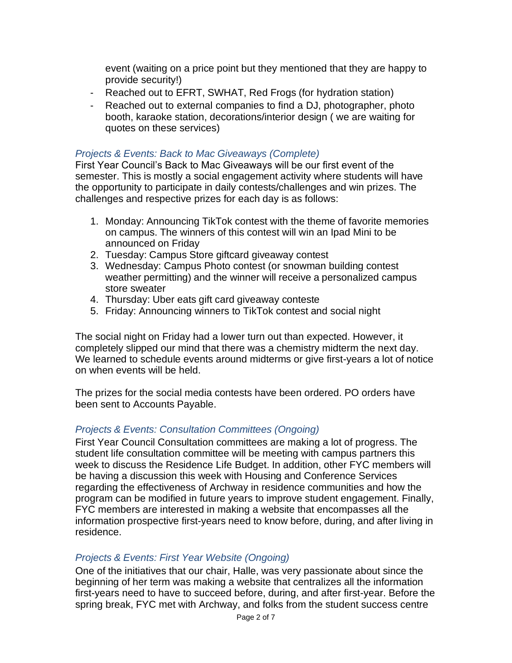event (waiting on a price point but they mentioned that they are happy to provide security!)

- Reached out to EFRT, SWHAT, Red Frogs (for hydration station)
- Reached out to external companies to find a DJ, photographer, photo booth, karaoke station, decorations/interior design ( we are waiting for quotes on these services)

#### *Projects & Events: Back to Mac Giveaways (Complete)*

First Year Council's Back to Mac Giveaways will be our first event of the semester. This is mostly a social engagement activity where students will have the opportunity to participate in daily contests/challenges and win prizes. The challenges and respective prizes for each day is as follows:

- 1. Monday: Announcing TikTok contest with the theme of favorite memories on campus. The winners of this contest will win an Ipad Mini to be announced on Friday
- 2. Tuesday: Campus Store giftcard giveaway contest
- 3. Wednesday: Campus Photo contest (or snowman building contest weather permitting) and the winner will receive a personalized campus store sweater
- 4. Thursday: Uber eats gift card giveaway conteste
- 5. Friday: Announcing winners to TikTok contest and social night

The social night on Friday had a lower turn out than expected. However, it completely slipped our mind that there was a chemistry midterm the next day. We learned to schedule events around midterms or give first-years a lot of notice on when events will be held.

The prizes for the social media contests have been ordered. PO orders have been sent to Accounts Payable.

#### *Projects & Events: Consultation Committees (Ongoing)*

First Year Council Consultation committees are making a lot of progress. The student life consultation committee will be meeting with campus partners this week to discuss the Residence Life Budget. In addition, other FYC members will be having a discussion this week with Housing and Conference Services regarding the effectiveness of Archway in residence communities and how the program can be modified in future years to improve student engagement. Finally, FYC members are interested in making a website that encompasses all the information prospective first-years need to know before, during, and after living in residence.

#### *Projects & Events: First Year Website (Ongoing)*

One of the initiatives that our chair, Halle, was very passionate about since the beginning of her term was making a website that centralizes all the information first-years need to have to succeed before, during, and after first-year. Before the spring break, FYC met with Archway, and folks from the student success centre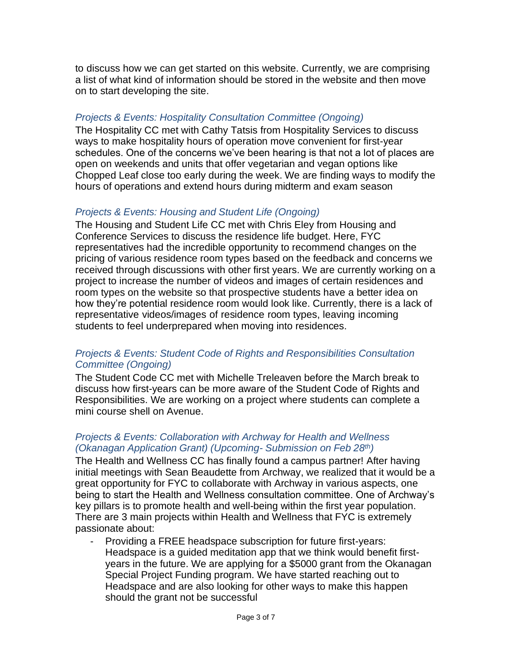to discuss how we can get started on this website. Currently, we are comprising a list of what kind of information should be stored in the website and then move on to start developing the site.

#### *Projects & Events: Hospitality Consultation Committee (Ongoing)*

The Hospitality CC met with Cathy Tatsis from Hospitality Services to discuss ways to make hospitality hours of operation move convenient for first-year schedules. One of the concerns we've been hearing is that not a lot of places are open on weekends and units that offer vegetarian and vegan options like Chopped Leaf close too early during the week. We are finding ways to modify the hours of operations and extend hours during midterm and exam season

#### *Projects & Events: Housing and Student Life (Ongoing)*

The Housing and Student Life CC met with Chris Eley from Housing and Conference Services to discuss the residence life budget. Here, FYC representatives had the incredible opportunity to recommend changes on the pricing of various residence room types based on the feedback and concerns we received through discussions with other first years. We are currently working on a project to increase the number of videos and images of certain residences and room types on the website so that prospective students have a better idea on how they're potential residence room would look like. Currently, there is a lack of representative videos/images of residence room types, leaving incoming students to feel underprepared when moving into residences.

#### *Projects & Events: Student Code of Rights and Responsibilities Consultation Committee (Ongoing)*

The Student Code CC met with Michelle Treleaven before the March break to discuss how first-years can be more aware of the Student Code of Rights and Responsibilities. We are working on a project where students can complete a mini course shell on Avenue.

#### *Projects & Events: Collaboration with Archway for Health and Wellness (Okanagan Application Grant) (Upcoming- Submission on Feb 28th)*

The Health and Wellness CC has finally found a campus partner! After having initial meetings with Sean Beaudette from Archway, we realized that it would be a great opportunity for FYC to collaborate with Archway in various aspects, one being to start the Health and Wellness consultation committee. One of Archway's key pillars is to promote health and well-being within the first year population. There are 3 main projects within Health and Wellness that FYC is extremely passionate about:

- Providing a FREE headspace subscription for future first-years: Headspace is a guided meditation app that we think would benefit firstyears in the future. We are applying for a \$5000 grant from the Okanagan Special Project Funding program. We have started reaching out to Headspace and are also looking for other ways to make this happen should the grant not be successful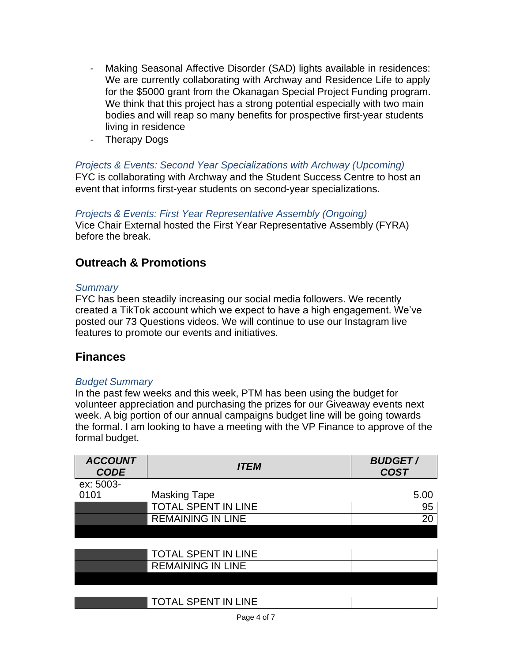- Making Seasonal Affective Disorder (SAD) lights available in residences: We are currently collaborating with Archway and Residence Life to apply for the \$5000 grant from the Okanagan Special Project Funding program. We think that this project has a strong potential especially with two main bodies and will reap so many benefits for prospective first-year students living in residence
- Therapy Dogs

*Projects & Events: Second Year Specializations with Archway (Upcoming)* FYC is collaborating with Archway and the Student Success Centre to host an event that informs first-year students on second-year specializations.

*Projects & Events: First Year Representative Assembly (Ongoing)* Vice Chair External hosted the First Year Representative Assembly (FYRA) before the break.

# **Outreach & Promotions**

#### *Summary*

FYC has been steadily increasing our social media followers. We recently created a TikTok account which we expect to have a high engagement. We've posted our 73 Questions videos. We will continue to use our Instagram live features to promote our events and initiatives.

# **Finances**

#### *Budget Summary*

In the past few weeks and this week, PTM has been using the budget for volunteer appreciation and purchasing the prizes for our Giveaway events next week. A big portion of our annual campaigns budget line will be going towards the formal. I am looking to have a meeting with the VP Finance to approve of the formal budget.

| <b>ACCOUNT</b><br><b>CODE</b> | <b>ITEM</b>                | <b>BUDGET/</b><br><b>COST</b> |
|-------------------------------|----------------------------|-------------------------------|
| ex: 5003-                     |                            |                               |
| 0101                          | <b>Masking Tape</b>        | 5.00                          |
|                               | <b>TOTAL SPENT IN LINE</b> | 95                            |
|                               | <b>REMAINING IN LINE</b>   | 20                            |
|                               |                            |                               |
|                               |                            |                               |
|                               | <b>TOTAL SPENT IN LINE</b> |                               |
|                               | <b>REMAINING IN LINE</b>   |                               |
|                               |                            |                               |
|                               |                            |                               |
|                               | <b>TOTAL SPENT IN LINE</b> |                               |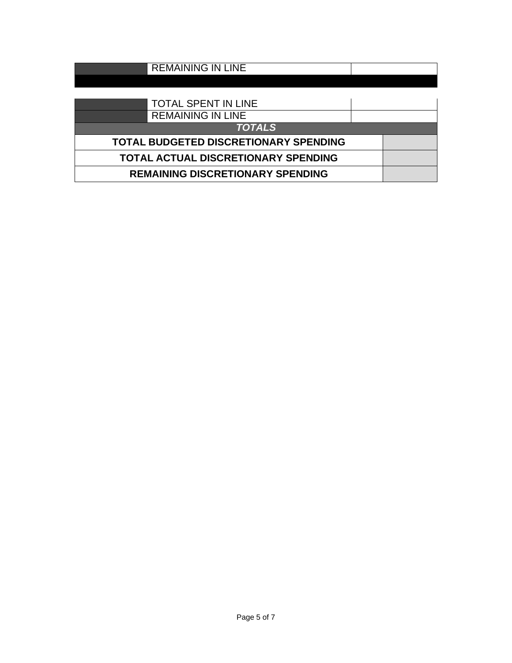# REMAINING IN LINE TOTAL SPENT IN LINE REMAINING IN LINE *TOTALS* **TOTAL BUDGETED DISCRETIONARY SPENDING TOTAL ACTUAL DISCRETIONARY SPENDING REMAINING DISCRETIONARY SPENDING**